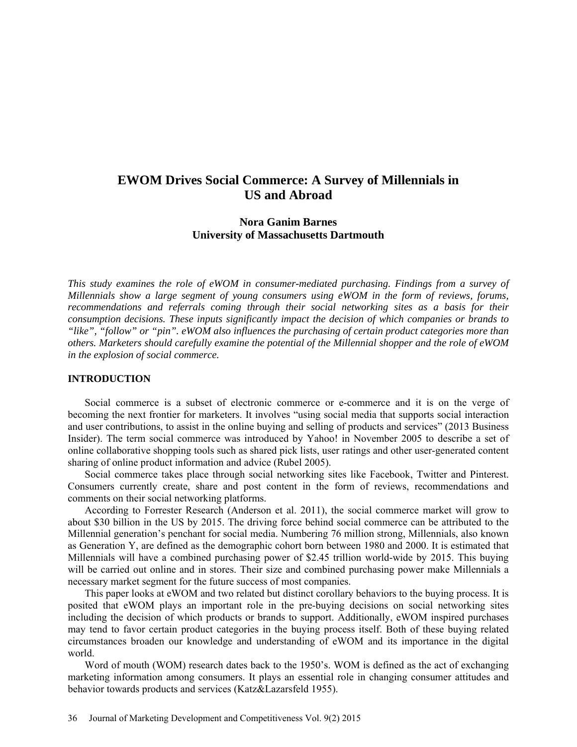# **EWOM Drives Social Commerce: A Survey of Millennials in US and Abroad**

# **Nora Ganim Barnes University of Massachusetts Dartmouth**

*This study examines the role of eWOM in consumer-mediated purchasing. Findings from a survey of Millennials show a large segment of young consumers using eWOM in the form of reviews, forums, recommendations and referrals coming through their social networking sites as a basis for their consumption decisions. These inputs significantly impact the decision of which companies or brands to "like", "follow" or "pin". eWOM also influences the purchasing of certain product categories more than others. Marketers should carefully examine the potential of the Millennial shopper and the role of eWOM in the explosion of social commerce.*

## **INTRODUCTION**

Social commerce is a subset of electronic commerce or e-commerce and it is on the verge of becoming the next frontier for marketers. It involves "using social media that supports social interaction and user contributions, to assist in the online buying and selling of products and services" (2013 Business Insider). The term social commerce was introduced by Yahoo! in November 2005 to describe a set of online collaborative shopping tools such as shared pick lists, user ratings and other [user-generated content](http://en.wikipedia.org/wiki/User-generated_content) sharing of online product information and advice (Rubel 2005).

Social commerce takes place through social networking sites like Facebook, Twitter and Pinterest. Consumers currently create, share and post content in the form of reviews, recommendations and comments on their social networking platforms.

According to Forrester Research (Anderson et al. 2011), the social commerce market will grow to about \$30 billion in the US by 2015. The driving force behind social commerce can be attributed to the Millennial generation's penchant for social media. Numbering 76 million strong, Millennials, also known as Generation Y, are defined as the demographic cohort born between 1980 and 2000. It is estimated that Millennials will have a combined purchasing power of \$2.45 trillion world-wide by 2015. This buying will be carried out online and in stores. Their size and combined purchasing power make Millennials a necessary market segment for the future success of most companies.

This paper looks at eWOM and two related but distinct corollary behaviors to the buying process. It is posited that eWOM plays an important role in the pre-buying decisions on social networking sites including the decision of which products or brands to support. Additionally, eWOM inspired purchases may tend to favor certain product categories in the buying process itself. Both of these buying related circumstances broaden our knowledge and understanding of eWOM and its importance in the digital world.

Word of mouth (WOM) research dates back to the 1950's. WOM is defined as the act of exchanging marketing information among consumers. It plays an essential role in changing consumer attitudes and behavior towards products and services (Katz&Lazarsfeld 1955).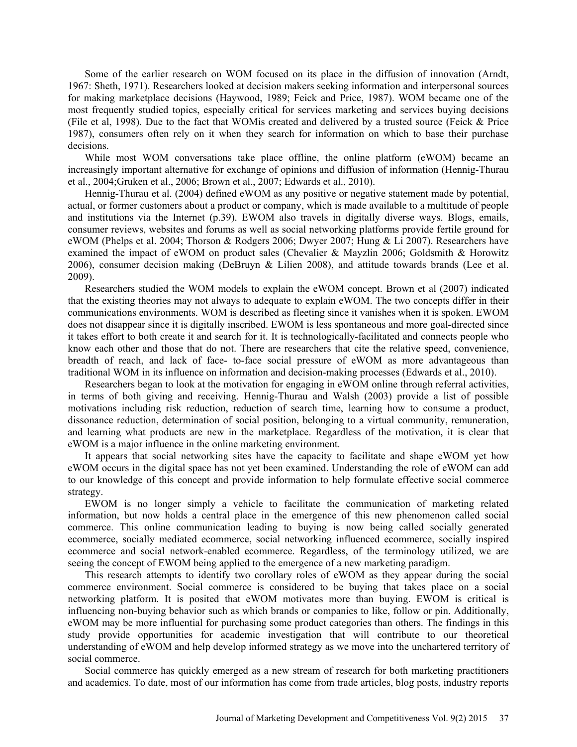Some of the earlier research on WOM focused on its place in the diffusion of innovation (Arndt, 1967: Sheth, 1971). Researchers looked at decision makers seeking information and interpersonal sources for making marketplace decisions (Haywood, 1989; Feick and Price, 1987). WOM became one of the most frequently studied topics, especially critical for services marketing and services buying decisions (File et al, 1998). Due to the fact that WOMis created and delivered by a trusted source (Feick & Price 1987), consumers often rely on it when they search for information on which to base their purchase decisions.

While most WOM conversations take place offline, the online platform (eWOM) became an increasingly important alternative for exchange of opinions and diffusion of information (Hennig-Thurau et al., 2004;Gruken et al., 2006; Brown et al., 2007; Edwards et al., 2010).

Hennig-Thurau et al. (2004) defined eWOM as any positive or negative statement made by potential, actual, or former customers about a product or company, which is made available to a multitude of people and institutions via the Internet (p.39). EWOM also travels in digitally diverse ways. Blogs, emails, consumer reviews, websites and forums as well as social networking platforms provide fertile ground for eWOM (Phelps et al. 2004; Thorson & Rodgers 2006; Dwyer 2007; Hung & Li 2007). Researchers have examined the impact of eWOM on product sales (Chevalier & Mayzlin 2006; Goldsmith & Horowitz 2006), consumer decision making (DeBruyn & Lilien 2008), and attitude towards brands (Lee et al. 2009).

Researchers studied the WOM models to explain the eWOM concept. Brown et al (2007) indicated that the existing theories may not always to adequate to explain eWOM. The two concepts differ in their communications environments. WOM is described as fleeting since it vanishes when it is spoken. EWOM does not disappear since it is digitally inscribed. EWOM is less spontaneous and more goal-directed since it takes effort to both create it and search for it. It is technologically-facilitated and connects people who know each other and those that do not. There are researchers that cite the relative speed, convenience, breadth of reach, and lack of face- to-face social pressure of eWOM as more advantageous than traditional WOM in its influence on information and decision-making processes (Edwards et al., 2010).

Researchers began to look at the motivation for engaging in eWOM online through referral activities, in terms of both giving and receiving. Hennig-Thurau and Walsh (2003) provide a list of possible motivations including risk reduction, reduction of search time, learning how to consume a product, dissonance reduction, determination of social position, belonging to a virtual community, remuneration, and learning what products are new in the marketplace. Regardless of the motivation, it is clear that eWOM is a major influence in the online marketing environment.

It appears that social networking sites have the capacity to facilitate and shape eWOM yet how eWOM occurs in the digital space has not yet been examined. Understanding the role of eWOM can add to our knowledge of this concept and provide information to help formulate effective social commerce strategy.

EWOM is no longer simply a vehicle to facilitate the communication of marketing related information, but now holds a central place in the emergence of this new phenomenon called social commerce. This online communication leading to buying is now being called socially generated ecommerce, socially mediated ecommerce, social networking influenced ecommerce, socially inspired ecommerce and social network-enabled ecommerce. Regardless, of the terminology utilized, we are seeing the concept of EWOM being applied to the emergence of a new marketing paradigm.

This research attempts to identify two corollary roles of eWOM as they appear during the social commerce environment. Social commerce is considered to be buying that takes place on a social networking platform. It is posited that eWOM motivates more than buying. EWOM is critical is influencing non-buying behavior such as which brands or companies to like, follow or pin. Additionally, eWOM may be more influential for purchasing some product categories than others. The findings in this study provide opportunities for academic investigation that will contribute to our theoretical understanding of eWOM and help develop informed strategy as we move into the unchartered territory of social commerce.

Social commerce has quickly emerged as a new stream of research for both marketing practitioners and academics. To date, most of our information has come from trade articles, blog posts, industry reports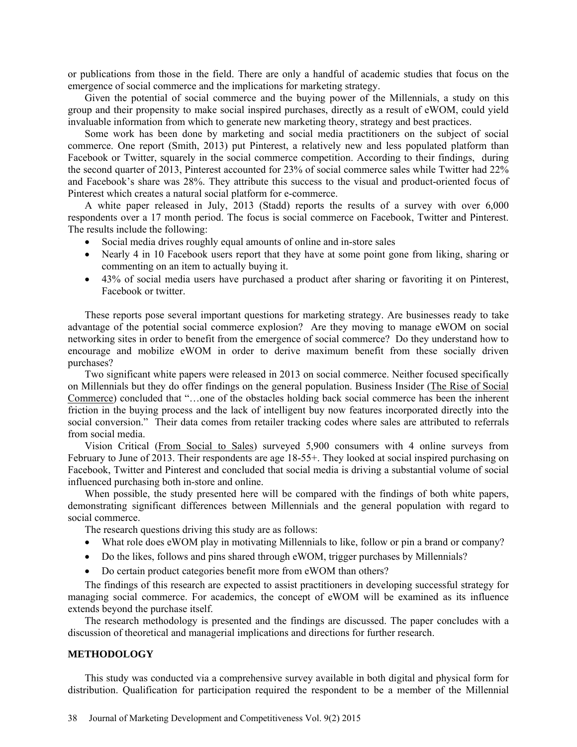or publications from those in the field. There are only a handful of academic studies that focus on the emergence of social commerce and the implications for marketing strategy.

Given the potential of social commerce and the buying power of the Millennials, a study on this group and their propensity to make social inspired purchases, directly as a result of eWOM, could yield invaluable information from which to generate new marketing theory, strategy and best practices.

Some work has been done by marketing and social media practitioners on the subject of social commerce. One report (Smith, 2013) put Pinterest, a relatively new and less populated platform than Facebook or Twitter, squarely in the social commerce competition. According to their findings, during the second quarter of 2013, Pinterest accounted for 23% of social commerce sales while Twitter had 22% and Facebook's share was 28%. They attribute this success to the visual and product-oriented focus of Pinterest which creates a natural social platform for e-commerce.

A white paper released in July, 2013 (Stadd) reports the results of a survey with over 6,000 respondents over a 17 month period. The focus is social commerce on Facebook, Twitter and Pinterest. The results include the following:

- Social media drives roughly equal amounts of online and in-store sales
- Nearly 4 in 10 Facebook users report that they have at some point gone from liking, sharing or commenting on an item to actually buying it.
- 43% of social media users have purchased a product after sharing or favoriting it on Pinterest, Facebook or twitter.

These reports pose several important questions for marketing strategy. Are businesses ready to take advantage of the potential social commerce explosion? Are they moving to manage eWOM on social networking sites in order to benefit from the emergence of social commerce? Do they understand how to encourage and mobilize eWOM in order to derive maximum benefit from these socially driven purchases?

Two significant white papers were released in 2013 on social commerce. Neither focused specifically on Millennials but they do offer findings on the general population. Business Insider [\(The Rise of Social](http://www.businessinsider.com/the-rise-of%20social-commerce-2013-10)  [Commerce\)](http://www.businessinsider.com/the-rise-of%20social-commerce-2013-10) concluded that "…one of the obstacles holding back social commerce has been the inherent friction in the buying process and the lack of intelligent buy now features incorporated directly into the social conversion." Their data comes from retailer tracking codes where sales are attributed to referrals from social media.

Vision Critical [\(From Social to Sales\)](http://www.visioncritical.com/sites/default/files/whitepaper-social-to-sale_2.pdf) surveyed 5,900 consumers with 4 online surveys from February to June of 2013. Their respondents are age 18-55+. They looked at social inspired purchasing on Facebook, Twitter and Pinterest and concluded that social media is driving a substantial volume of social influenced purchasing both in-store and online.

When possible, the study presented here will be compared with the findings of both white papers, demonstrating significant differences between Millennials and the general population with regard to social commerce.

The research questions driving this study are as follows:

- What role does eWOM play in motivating Millennials to like, follow or pin a brand or company?
- Do the likes, follows and pins shared through eWOM, trigger purchases by Millennials?
- Do certain product categories benefit more from eWOM than others?

The findings of this research are expected to assist practitioners in developing successful strategy for managing social commerce. For academics, the concept of eWOM will be examined as its influence extends beyond the purchase itself.

The research methodology is presented and the findings are discussed. The paper concludes with a discussion of theoretical and managerial implications and directions for further research.

#### **METHODOLOGY**

This study was conducted via a comprehensive survey available in both digital and physical form for distribution. Qualification for participation required the respondent to be a member of the Millennial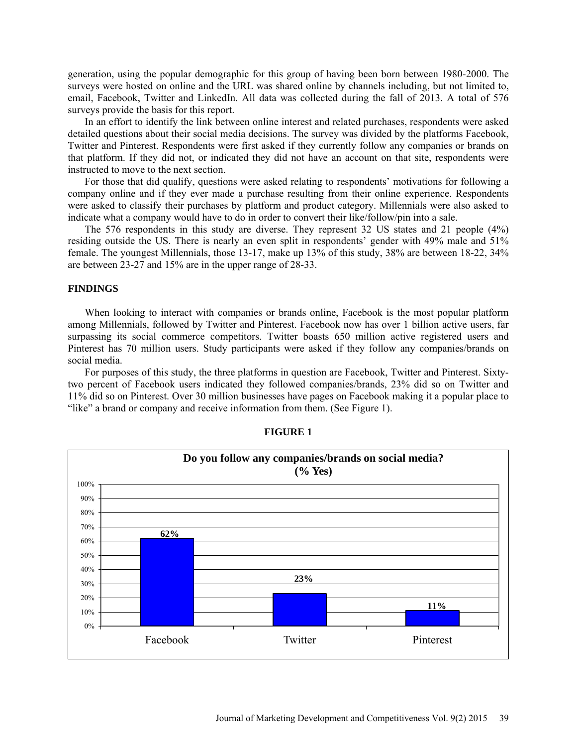generation, using the popular demographic for this group of having been born between 1980-2000. The surveys were hosted on online and the URL was shared online by channels including, but not limited to, email, Facebook, Twitter and LinkedIn. All data was collected during the fall of 2013. A total of 576 surveys provide the basis for this report.

In an effort to identify the link between online interest and related purchases, respondents were asked detailed questions about their social media decisions. The survey was divided by the platforms Facebook, Twitter and Pinterest. Respondents were first asked if they currently follow any companies or brands on that platform. If they did not, or indicated they did not have an account on that site, respondents were instructed to move to the next section.

For those that did qualify, questions were asked relating to respondents' motivations for following a company online and if they ever made a purchase resulting from their online experience. Respondents were asked to classify their purchases by platform and product category. Millennials were also asked to indicate what a company would have to do in order to convert their like/follow/pin into a sale.

The 576 respondents in this study are diverse. They represent 32 US states and 21 people (4%) residing outside the US. There is nearly an even split in respondents' gender with 49% male and 51% female. The youngest Millennials, those 13-17, make up 13% of this study, 38% are between 18-22, 34% are between 23-27 and 15% are in the upper range of 28-33.

#### **FINDINGS**

When looking to interact with companies or brands online, Facebook is the most popular platform among Millennials, followed by Twitter and Pinterest. Facebook now has over 1 billion active users, far surpassing its social commerce competitors. Twitter boasts 650 million active registered users and Pinterest has 70 million users. Study participants were asked if they follow any companies/brands on social media.

For purposes of this study, the three platforms in question are Facebook, Twitter and Pinterest. Sixtytwo percent of Facebook users indicated they followed companies/brands, 23% did so on Twitter and 11% did so on Pinterest. Over 30 million businesses have pages on Facebook making it a popular place to "like" a brand or company and receive information from them. (See Figure 1).



#### **FIGURE 1**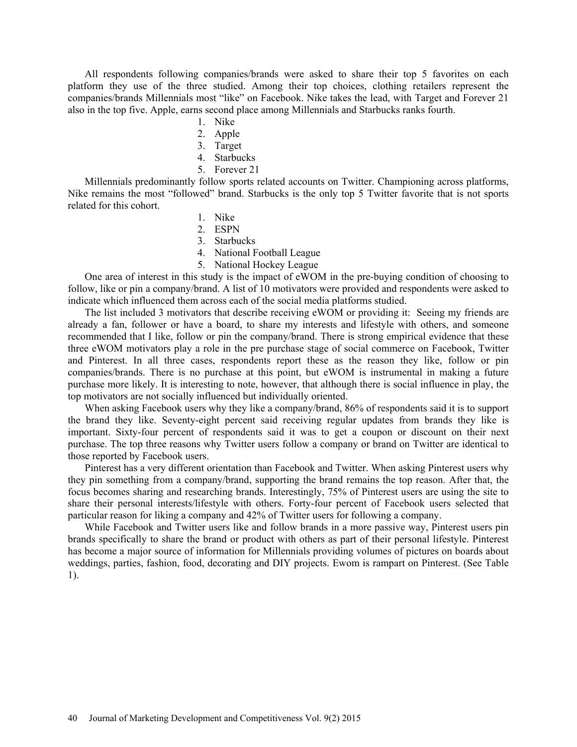All respondents following companies/brands were asked to share their top 5 favorites on each platform they use of the three studied. Among their top choices, clothing retailers represent the companies/brands Millennials most "like" on Facebook. Nike takes the lead, with Target and Forever 21 also in the top five. Apple, earns second place among Millennials and Starbucks ranks fourth.

- 1. Nike
- 2. Apple
- 3. Target
- 4. Starbucks
- 5. Forever 21

Millennials predominantly follow sports related accounts on Twitter. Championing across platforms, Nike remains the most "followed" brand. Starbucks is the only top 5 Twitter favorite that is not sports related for this cohort.

- 1. Nike
- 2. ESPN
- 3. Starbucks
- 4. National Football League
- 5. National Hockey League

One area of interest in this study is the impact of eWOM in the pre-buying condition of choosing to follow, like or pin a company/brand. A list of 10 motivators were provided and respondents were asked to indicate which influenced them across each of the social media platforms studied.

The list included 3 motivators that describe receiving eWOM or providing it: Seeing my friends are already a fan, follower or have a board, to share my interests and lifestyle with others, and someone recommended that I like, follow or pin the company/brand. There is strong empirical evidence that these three eWOM motivators play a role in the pre purchase stage of social commerce on Facebook, Twitter and Pinterest. In all three cases, respondents report these as the reason they like, follow or pin companies/brands. There is no purchase at this point, but eWOM is instrumental in making a future purchase more likely. It is interesting to note, however, that although there is social influence in play, the top motivators are not socially influenced but individually oriented.

When asking Facebook users why they like a company/brand, 86% of respondents said it is to support the brand they like. Seventy-eight percent said receiving regular updates from brands they like is important. Sixty-four percent of respondents said it was to get a coupon or discount on their next purchase. The top three reasons why Twitter users follow a company or brand on Twitter are identical to those reported by Facebook users.

Pinterest has a very different orientation than Facebook and Twitter. When asking Pinterest users why they pin something from a company/brand, supporting the brand remains the top reason. After that, the focus becomes sharing and researching brands. Interestingly, 75% of Pinterest users are using the site to share their personal interests/lifestyle with others. Forty-four percent of Facebook users selected that particular reason for liking a company and 42% of Twitter users for following a company.

While Facebook and Twitter users like and follow brands in a more passive way, Pinterest users pin brands specifically to share the brand or product with others as part of their personal lifestyle. Pinterest has become a major source of information for Millennials providing volumes of pictures on boards about weddings, parties, fashion, food, decorating and DIY projects. Ewom is rampart on Pinterest. (See Table 1).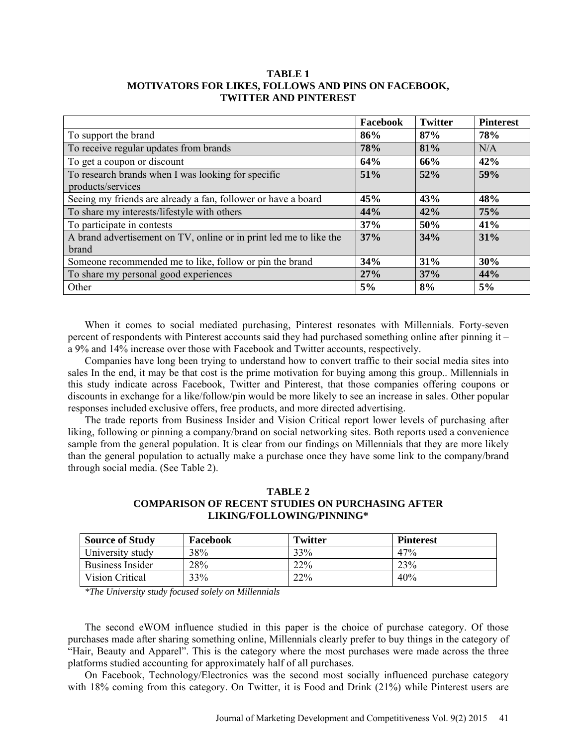## **TABLE 1 MOTIVATORS FOR LIKES, FOLLOWS AND PINS ON FACEBOOK, TWITTER AND PINTEREST**

|                                                                    | Facebook | <b>Twitter</b> | <b>Pinterest</b> |
|--------------------------------------------------------------------|----------|----------------|------------------|
| To support the brand                                               | 86%      | 87%            | 78%              |
| To receive regular updates from brands                             | 78%      | 81%            | N/A              |
| To get a coupon or discount                                        | 64%      | 66%            | 42%              |
| To research brands when I was looking for specific                 | 51%      | 52%            | 59%              |
| products/services                                                  |          |                |                  |
| Seeing my friends are already a fan, follower or have a board      | 45%      | 43%            | 48%              |
| To share my interests/lifestyle with others                        | 44%      | 42%            | 75%              |
| To participate in contests                                         | 37%      | 50%            | 41%              |
| A brand advertisement on TV, online or in print led me to like the | 37%      | 34%            | 31%              |
| <b>brand</b>                                                       |          |                |                  |
| Someone recommended me to like, follow or pin the brand            | 34%      | 31%            | 30%              |
| To share my personal good experiences                              | 27%      | 37%            | 44%              |
| Other                                                              | 5%       | 8%             | 5%               |

When it comes to social mediated purchasing, Pinterest resonates with Millennials. Forty-seven percent of respondents with Pinterest accounts said they had purchased something online after pinning it – a 9% and 14% increase over those with Facebook and Twitter accounts, respectively.

Companies have long been trying to understand how to convert traffic to their social media sites into sales In the end, it may be that cost is the prime motivation for buying among this group.. Millennials in this study indicate across Facebook, Twitter and Pinterest, that those companies offering coupons or discounts in exchange for a like/follow/pin would be more likely to see an increase in sales. Other popular responses included exclusive offers, free products, and more directed advertising.

The trade reports from Business Insider and Vision Critical report lower levels of purchasing after liking, following or pinning a company/brand on social networking sites. Both reports used a convenience sample from the general population. It is clear from our findings on Millennials that they are more likely than the general population to actually make a purchase once they have some link to the company/brand through social media. (See Table 2).

# **TABLE 2 COMPARISON OF RECENT STUDIES ON PURCHASING AFTER LIKING/FOLLOWING/PINNING\***

| <b>Source of Study</b>  | Facebook | <b>Twitter</b> | <b>Pinterest</b> |
|-------------------------|----------|----------------|------------------|
| University study        | 38%      | 33%            | 47%              |
| <b>Business Insider</b> | 28%      | $22\%$         | 23%              |
| Vision Critical         | 33%      | 22%            | 40%              |

*\*The University study focused solely on Millennials*

The second eWOM influence studied in this paper is the choice of purchase category. Of those purchases made after sharing something online, Millennials clearly prefer to buy things in the category of "Hair, Beauty and Apparel". This is the category where the most purchases were made across the three platforms studied accounting for approximately half of all purchases.

On Facebook, Technology/Electronics was the second most socially influenced purchase category with 18% coming from this category. On Twitter, it is Food and Drink (21%) while Pinterest users are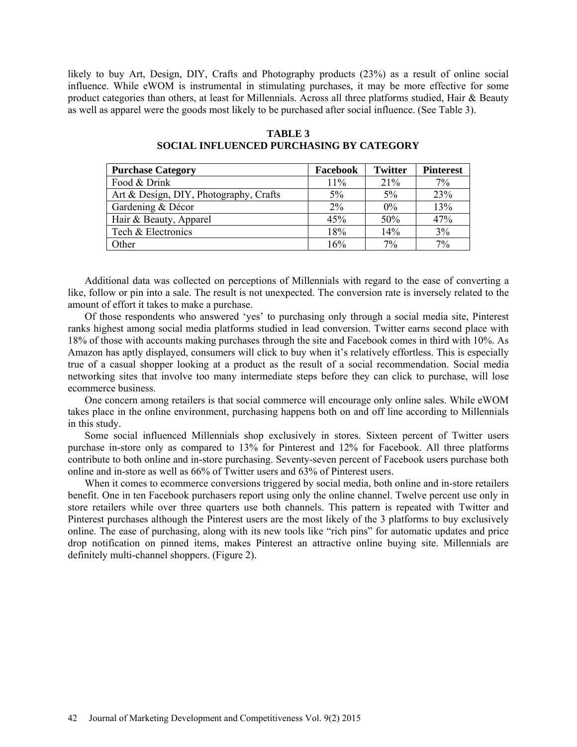likely to buy Art, Design, DIY, Crafts and Photography products (23%) as a result of online social influence. While eWOM is instrumental in stimulating purchases, it may be more effective for some product categories than others, at least for Millennials. Across all three platforms studied, Hair & Beauty as well as apparel were the goods most likely to be purchased after social influence. (See Table 3).

| <b>Purchase Category</b>               | Facebook | <b>Twitter</b> | <b>Pinterest</b> |
|----------------------------------------|----------|----------------|------------------|
| Food & Drink                           | 11%      | 21%            | 7%               |
| Art & Design, DIY, Photography, Crafts | $5\%$    | 5%             | 23%              |
| Gardening & Décor                      | $2\%$    | 0%             | 13%              |
| Hair & Beauty, Apparel                 | 45%      | 50%            | 47%              |
| Tech & Electronics                     | 18%      | 14%            | 3%               |
| Other                                  | 16%      | 7%             | 7%               |

**TABLE 3 SOCIAL INFLUENCED PURCHASING BY CATEGORY**

Additional data was collected on perceptions of Millennials with regard to the ease of converting a like, follow or pin into a sale. The result is not unexpected. The conversion rate is inversely related to the amount of effort it takes to make a purchase.

Of those respondents who answered 'yes' to purchasing only through a social media site, Pinterest ranks highest among social media platforms studied in lead conversion. Twitter earns second place with 18% of those with accounts making purchases through the site and Facebook comes in third with 10%. As Amazon has aptly displayed, consumers will click to buy when it's relatively effortless. This is especially true of a casual shopper looking at a product as the result of a social recommendation. Social media networking sites that involve too many intermediate steps before they can click to purchase, will lose ecommerce business.

One concern among retailers is that social commerce will encourage only online sales. While eWOM takes place in the online environment, purchasing happens both on and off line according to Millennials in this study.

Some social influenced Millennials shop exclusively in stores. Sixteen percent of Twitter users purchase in-store only as compared to 13% for Pinterest and 12% for Facebook. All three platforms contribute to both online and in-store purchasing. Seventy-seven percent of Facebook users purchase both online and in-store as well as 66% of Twitter users and 63% of Pinterest users.

When it comes to ecommerce conversions triggered by social media, both online and in-store retailers benefit. One in ten Facebook purchasers report using only the online channel. Twelve percent use only in store retailers while over three quarters use both channels. This pattern is repeated with Twitter and Pinterest purchases although the Pinterest users are the most likely of the 3 platforms to buy exclusively online. The ease of purchasing, along with its new tools like "rich pins" for automatic updates and price drop notification on pinned items, makes Pinterest an attractive online buying site. Millennials are definitely multi-channel shoppers. (Figure 2).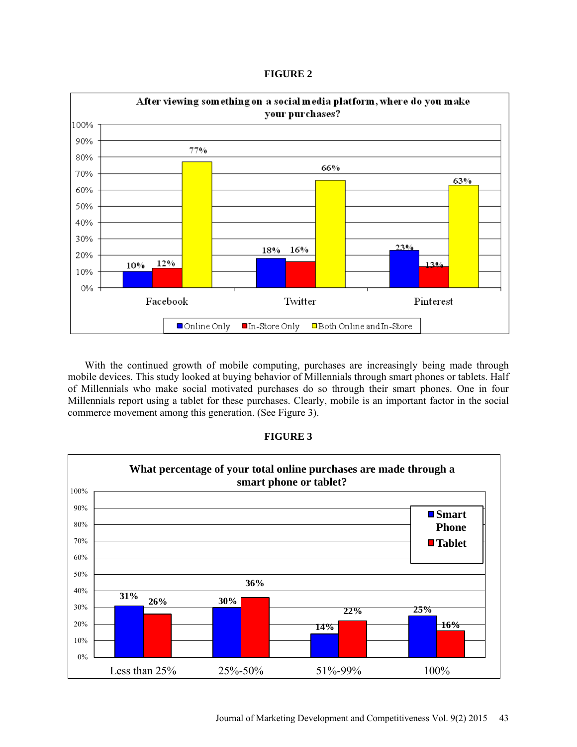**FIGURE 2**



With the continued growth of mobile computing, purchases are increasingly being made through mobile devices. This study looked at buying behavior of Millennials through smart phones or tablets. Half of Millennials who make social motivated purchases do so through their smart phones. One in four Millennials report using a tablet for these purchases. Clearly, mobile is an important factor in the social commerce movement among this generation. (See Figure 3).



# **FIGURE 3**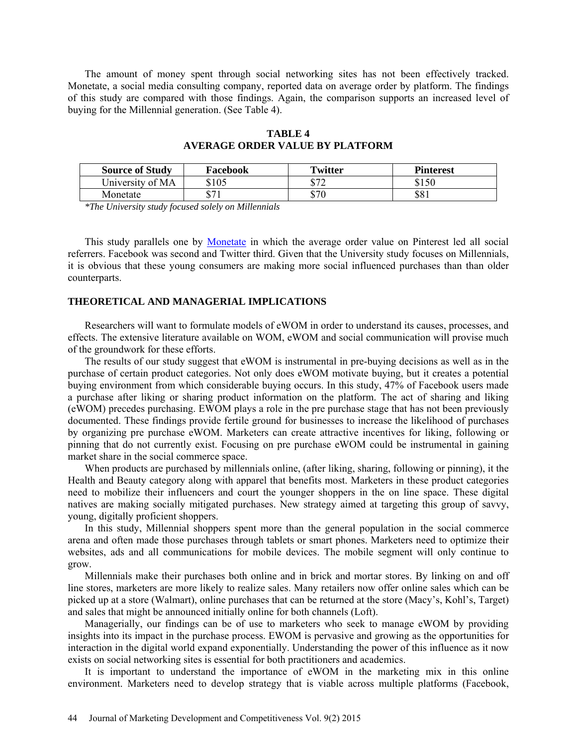The amount of money spent through social networking sites has not been effectively tracked. Monetate, a social media consulting company, reported data on average order by platform. The findings of this study are compared with those findings. Again, the comparison supports an increased level of buying for the Millennial generation. (See Table 4).

| <b>Source of Study</b> | Facebook     | Twitter | <b>Pinterest</b> |
|------------------------|--------------|---------|------------------|
| University of MA       | \$105        | ድ ግግ    | \$150            |
| Monetate               | <u> ሰማ</u> 1 | \$70    | \$81             |

**TABLE 4 AVERAGE ORDER VALUE BY PLATFORM**

*\*The University study focused solely on Millennials*

This study parallels one by Monetate in which the average order value on Pinterest led all social referrers. Facebook was second and Twitter third. Given that the University study focuses on Millennials, it is obvious that these young consumers are making more social influenced purchases than than older counterparts.

## **THEORETICAL AND MANAGERIAL IMPLICATIONS**

Researchers will want to formulate models of eWOM in order to understand its causes, processes, and effects. The extensive literature available on WOM, eWOM and social communication will provise much of the groundwork for these efforts.

The results of our study suggest that eWOM is instrumental in pre-buying decisions as well as in the purchase of certain product categories. Not only does eWOM motivate buying, but it creates a potential buying environment from which considerable buying occurs. In this study, 47% of Facebook users made a purchase after liking or sharing product information on the platform. The act of sharing and liking (eWOM) precedes purchasing. EWOM plays a role in the pre purchase stage that has not been previously documented. These findings provide fertile ground for businesses to increase the likelihood of purchases by organizing pre purchase eWOM. Marketers can create attractive incentives for liking, following or pinning that do not currently exist. Focusing on pre purchase eWOM could be instrumental in gaining market share in the social commerce space.

When products are purchased by millennials online, (after liking, sharing, following or pinning), it the Health and Beauty category along with apparel that benefits most. Marketers in these product categories need to mobilize their influencers and court the younger shoppers in the on line space. These digital natives are making socially mitigated purchases. New strategy aimed at targeting this group of savvy, young, digitally proficient shoppers.

In this study, Millennial shoppers spent more than the general population in the social commerce arena and often made those purchases through tablets or smart phones. Marketers need to optimize their websites, ads and all communications for mobile devices. The mobile segment will only continue to grow.

Millennials make their purchases both online and in brick and mortar stores. By linking on and off line stores, marketers are more likely to realize sales. Many retailers now offer online sales which can be picked up at a store (Walmart), online purchases that can be returned at the store (Macy's, Kohl's, Target) and sales that might be announced initially online for both channels (Loft).

Managerially, our findings can be of use to marketers who seek to manage eWOM by providing insights into its impact in the purchase process. EWOM is pervasive and growing as the opportunities for interaction in the digital world expand exponentially. Understanding the power of this influence as it now exists on social networking sites is essential for both practitioners and academics.

It is important to understand the importance of eWOM in the marketing mix in this online environment. Marketers need to develop strategy that is viable across multiple platforms (Facebook,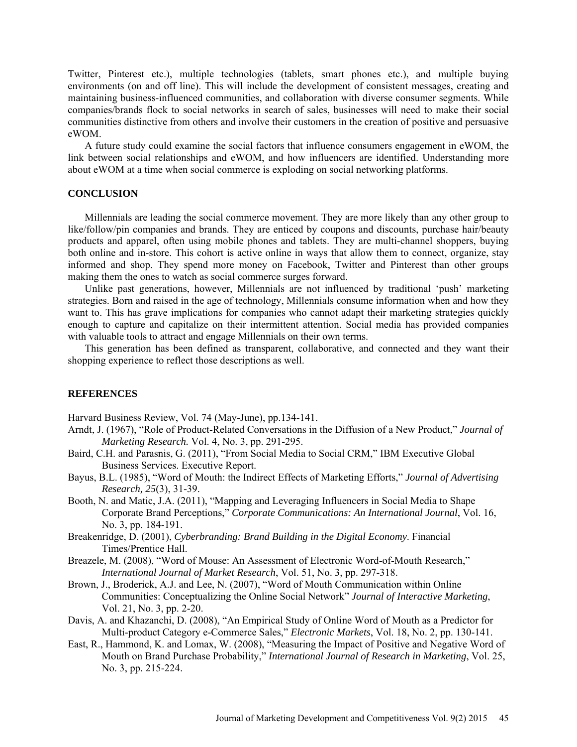Twitter, Pinterest etc.), multiple technologies (tablets, smart phones etc.), and multiple buying environments (on and off line). This will include the development of consistent messages, creating and maintaining business-influenced communities, and collaboration with diverse consumer segments. While companies/brands flock to social networks in search of sales, businesses will need to make their social communities distinctive from others and involve their customers in the creation of positive and persuasive eWOM.

A future study could examine the social factors that influence consumers engagement in eWOM, the link between social relationships and eWOM, and how influencers are identified. Understanding more about eWOM at a time when social commerce is exploding on social networking platforms.

## **CONCLUSION**

Millennials are leading the social commerce movement. They are more likely than any other group to like/follow/pin companies and brands. They are enticed by coupons and discounts, purchase hair/beauty products and apparel, often using mobile phones and tablets. They are multi-channel shoppers, buying both online and in-store. This cohort is active online in ways that allow them to connect, organize, stay informed and shop. They spend more money on Facebook, Twitter and Pinterest than other groups making them the ones to watch as social commerce surges forward.

Unlike past generations, however, Millennials are not influenced by traditional 'push' marketing strategies. Born and raised in the age of technology, Millennials consume information when and how they want to. This has grave implications for companies who cannot adapt their marketing strategies quickly enough to capture and capitalize on their intermittent attention. Social media has provided companies with valuable tools to attract and engage Millennials on their own terms.

This generation has been defined as transparent, collaborative, and connected and they want their shopping experience to reflect those descriptions as well.

#### **REFERENCES**

Harvard Business Review, Vol. 74 (May-June), pp.134-141.

- Arndt, J. (1967), "Role of Product-Related Conversations in the Diffusion of a New Product," *Journal of Marketing Research.* Vol. 4, No. 3, pp. 291-295.
- Baird, C.H. and Parasnis, G. (2011), "From Social Media to Social CRM," IBM Executive Global Business Services. Executive Report.
- Bayus, B.L. (1985), "Word of Mouth: the Indirect Effects of Marketing Efforts," *Journal of Advertising Research, 25*(3), 31-39.
- Booth, N. and Matic, J.A. (2011), "Mapping and Leveraging Influencers in Social Media to Shape Corporate Brand Perceptions," *Corporate Communications: An International Journal*, Vol. 16, No. 3, pp. 184-191.
- Breakenridge, D. (2001), *Cyberbranding: Brand Building in the Digital Economy*. Financial Times/Prentice Hall.
- Breazele, M. (2008), "Word of Mouse: An Assessment of Electronic Word-of-Mouth Research," *International Journal of Market Research*, Vol. 51, No. 3, pp. 297-318.
- Brown, J., Broderick, A.J. and Lee, N. (2007), "Word of Mouth Communication within Online Communities: Conceptualizing the Online Social Network" *Journal of Interactive Marketing*, Vol. 21, No. 3, pp. 2-20.
- Davis, A. and Khazanchi, D. (2008), "An Empirical Study of Online Word of Mouth as a Predictor for Multi-product Category e-Commerce Sales," *Electronic Markets*, Vol. 18, No. 2, pp. 130-141.
- East, R., Hammond, K. and Lomax, W. (2008), "Measuring the Impact of Positive and Negative Word of Mouth on Brand Purchase Probability," *International Journal of Research in Marketing*, Vol. 25, No. 3, pp. 215-224.